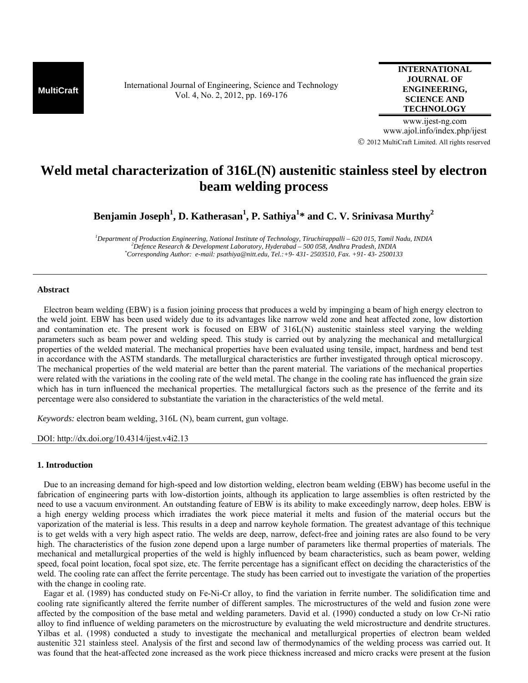**MultiCraft** International Journal of Engineering, Science and Technology Vol. 4, No. 2, 2012, pp. 169-176

# **INTERNATIONAL JOURNAL OF ENGINEERING, SCIENCE AND TECHNOLOGY**

www.ijest-ng.com<br>www.ijest-ng.com www.ajol.info/index.php/ijest © 2012 MultiCraft Limited. All rights reserved

# **Weld metal characterization of 316L(N) austenitic stainless steel by electron beam welding process**

Benjamin Joseph<sup>1</sup>, D. Katherasan<sup>1</sup>, P. Sathiya<sup>1</sup>\* and C. V. Srinivasa Murthy<sup>2</sup>

*1 Department of Production Engineering, National Institute of Technology, Tiruchirappalli – 620 015, Tamil Nadu, INDIA 2 Defence Research & Development Laboratory, Hyderabad – 500 058, Andhra Pradesh, INDIA \* Corresponding Author: e-mail: psathiya@nitt.edu, Tel.:+9- 431- 2503510, Fax. +91- 43- 2500133*

# **Abstract**

 Electron beam welding (EBW) is a fusion joining process that produces a weld by impinging a beam of high energy electron to the weld joint. EBW has been used widely due to its advantages like narrow weld zone and heat affected zone, low distortion and contamination etc. The present work is focused on EBW of 316L(N) austenitic stainless steel varying the welding parameters such as beam power and welding speed. This study is carried out by analyzing the mechanical and metallurgical properties of the welded material. The mechanical properties have been evaluated using tensile, impact, hardness and bend test in accordance with the ASTM standards. The metallurgical characteristics are further investigated through optical microscopy. The mechanical properties of the weld material are better than the parent material. The variations of the mechanical properties were related with the variations in the cooling rate of the weld metal. The change in the cooling rate has influenced the grain size which has in turn influenced the mechanical properties. The metallurgical factors such as the presence of the ferrite and its percentage were also considered to substantiate the variation in the characteristics of the weld metal.

*Keywords:* electron beam welding, 316L (N), beam current, gun voltage.

DOI: http://dx.doi.org/10.4314/ijest.v4i2.13

# **1. Introduction**

 Due to an increasing demand for high-speed and low distortion welding, electron beam welding (EBW) has become useful in the fabrication of engineering parts with low-distortion joints, although its application to large assemblies is often restricted by the need to use a vacuum environment. An outstanding feature of EBW is its ability to make exceedingly narrow, deep holes. EBW is a high energy welding process which irradiates the work piece material it melts and fusion of the material occurs but the vaporization of the material is less. This results in a deep and narrow keyhole formation. The greatest advantage of this technique is to get welds with a very high aspect ratio. The welds are deep, narrow, defect-free and joining rates are also found to be very high. The characteristics of the fusion zone depend upon a large number of parameters like thermal properties of materials. The mechanical and metallurgical properties of the weld is highly influenced by beam characteristics, such as beam power, welding speed, focal point location, focal spot size, etc. The ferrite percentage has a significant effect on deciding the characteristics of the weld. The cooling rate can affect the ferrite percentage. The study has been carried out to investigate the variation of the properties with the change in cooling rate.

 Eagar et al. (1989) has conducted study on Fe-Ni-Cr alloy, to find the variation in ferrite number. The solidification time and cooling rate significantly altered the ferrite number of different samples. The microstructures of the weld and fusion zone were affected by the composition of the base metal and welding parameters. David et al. (1990) conducted a study on low Cr-Ni ratio alloy to find influence of welding parameters on the microstructure by evaluating the weld microstructure and dendrite structures. Yilbas et al. (1998) conducted a study to investigate the mechanical and metallurgical properties of electron beam welded austenitic 321 stainless steel. Analysis of the first and second law of thermodynamics of the welding process was carried out. It was found that the heat-affected zone increased as the work piece thickness increased and micro cracks were present at the fusion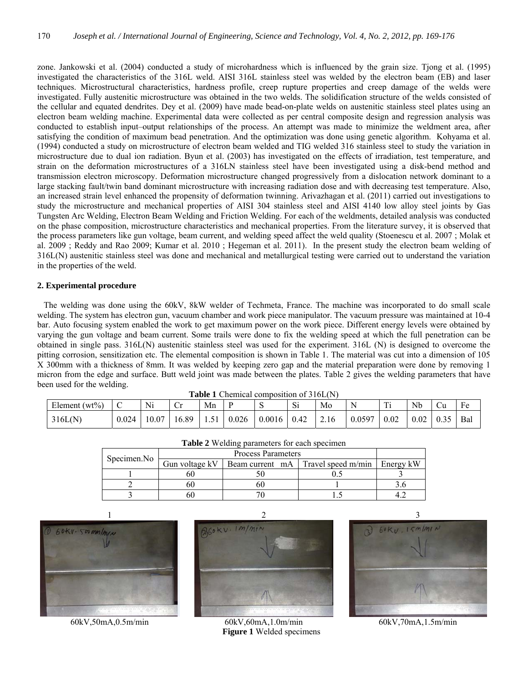zone. Jankowski et al. (2004) conducted a study of microhardness which is influenced by the grain size. Tjong et al. (1995) investigated the characteristics of the 316L weld. AISI 316L stainless steel was welded by the electron beam (EB) and laser techniques. Microstructural characteristics, hardness profile, creep rupture properties and creep damage of the welds were investigated. Fully austenitic microstructure was obtained in the two welds. The solidification structure of the welds consisted of the cellular and equated dendrites. Dey et al. (2009) have made bead-on-plate welds on austenitic stainless steel plates using an electron beam welding machine. Experimental data were collected as per central composite design and regression analysis was conducted to establish input–output relationships of the process. An attempt was made to minimize the weldment area, after satisfying the condition of maximum bead penetration. And the optimization was done using genetic algorithm. Kohyama et al. (1994) conducted a study on microstructure of electron beam welded and TIG welded 316 stainless steel to study the variation in microstructure due to dual ion radiation. Byun et al. (2003) has investigated on the effects of irradiation, test temperature, and strain on the deformation microstructures of a 316LN stainless steel have been investigated using a disk-bend method and transmission electron microscopy. Deformation microstructure changed progressively from a dislocation network dominant to a large stacking fault/twin band dominant microstructure with increasing radiation dose and with decreasing test temperature. Also, an increased strain level enhanced the propensity of deformation twinning. Arivazhagan et al. (2011) carried out investigations to study the microstructure and mechanical properties of AISI 304 stainless steel and AISI 4140 low alloy steel joints by Gas Tungsten Arc Welding, Electron Beam Welding and Friction Welding. For each of the weldments, detailed analysis was conducted on the phase composition, microstructure characteristics and mechanical properties. From the literature survey, it is observed that the process parameters like gun voltage, beam current, and welding speed affect the weld quality (Stoenescu et al. 2007 ; Molak et al. 2009 ; Reddy and Rao 2009; Kumar et al. 2010 ; Hegeman et al. 2011). In the present study the electron beam welding of 316L(N) austenitic stainless steel was done and mechanical and metallurgical testing were carried out to understand the variation in the properties of the weld.

# **2. Experimental procedure**

 The welding was done using the 60kV, 8kW welder of Techmeta, France. The machine was incorporated to do small scale welding. The system has electron gun, vacuum chamber and work piece manipulator. The vacuum pressure was maintained at 10-4 bar. Auto focusing system enabled the work to get maximum power on the work piece. Different energy levels were obtained by varying the gun voltage and beam current. Some trails were done to fix the welding speed at which the full penetration can be obtained in single pass. 316L(N) austenitic stainless steel was used for the experiment. 316L (N) is designed to overcome the pitting corrosion, sensitization etc. The elemental composition is shown in Table 1. The material was cut into a dimension of 105 X 300mm with a thickness of 8mm. It was welded by keeping zero gap and the material preparation were done by removing 1 micron from the edge and surface. Butt weld joint was made between the plates. Table 2 gives the welding parameters that have been used for the welding.

| <b>Table 1</b> Chemical composition of $316L(N)$ |       |       |       |    |       |        |                      |      |        |      |      |      |     |
|--------------------------------------------------|-------|-------|-------|----|-------|--------|----------------------|------|--------|------|------|------|-----|
| Element $(wt\%)$                                 |       | Ni    | Сr    | Mn |       |        | $\mathbf{C}$ :<br>ΩI | Mo   |        | Ti   | Nb   | υu   | Fe  |
| 316L(N)                                          | 0.024 | 10.07 | 16.89 |    | 0.026 | 0.0016 | 0.42                 | 2.16 | 0.0597 | 0.02 | 0.02 | 0.35 | Bal |

|             | <b>Table 2</b> weiging parameters for each specified |                                    |           |
|-------------|------------------------------------------------------|------------------------------------|-----------|
| Specimen.No | Gun voltage kV                                       | Beam current mA Travel speed m/min | Energy kW |
|             |                                                      |                                    |           |
|             |                                                      |                                    |           |
|             |                                                      |                                    |           |

**Table 2** Welding parameters for each specimen





60kV,50mA,0.5m/min 60kV,60mA,1.0m/min 60kV,70mA,1.5m/min **Figure 1** Welded specimens

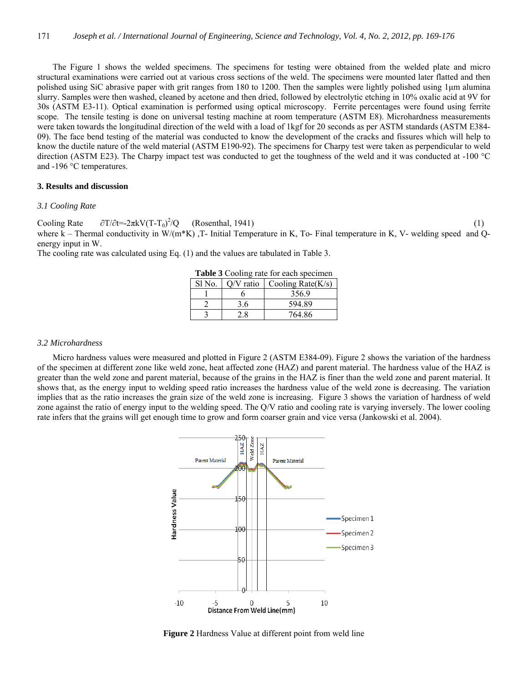The Figure 1 shows the welded specimens. The specimens for testing were obtained from the welded plate and micro structural examinations were carried out at various cross sections of the weld. The specimens were mounted later flatted and then polished using SiC abrasive paper with grit ranges from 180 to 1200. Then the samples were lightly polished using 1μm alumina slurry. Samples were then washed, cleaned by acetone and then dried, followed by electrolytic etching in 10% oxalic acid at 9V for 30s (ASTM E3-11). Optical examination is performed using optical microscopy. Ferrite percentages were found using ferrite scope. The tensile testing is done on universal testing machine at room temperature (ASTM E8). Microhardness measurements were taken towards the longitudinal direction of the weld with a load of 1kgf for 20 seconds as per ASTM standards (ASTM E384- 09). The face bend testing of the material was conducted to know the development of the cracks and fissures which will help to know the ductile nature of the weld material (ASTM E190-92). The specimens for Charpy test were taken as perpendicular to weld direction (ASTM E23). The Charpy impact test was conducted to get the toughness of the weld and it was conducted at -100 °C and -196 °C temperatures.

#### **3. Results and discussion**

#### *3.1 Cooling Rate*

Cooling Rate  $\partial T/\partial t = 2\pi k V (T - T_0)^2$  $(Rosenthal, 1941)$  (1) where  $k$  – Thermal conductivity in  $W/(m*K)$ , T- Initial Temperature in K, To- Final temperature in K, V- welding speed and Qenergy input in W.

The cooling rate was calculated using Eq. (1) and the values are tabulated in Table 3.

| <b>Table 3</b> Cooling rate for each specimen |     |                               |  |  |  |  |
|-----------------------------------------------|-----|-------------------------------|--|--|--|--|
| Sl No.                                        |     | $Q/V$ ratio Cooling Rate(K/s) |  |  |  |  |
|                                               |     | 356.9                         |  |  |  |  |
|                                               | 3.6 | 594.89                        |  |  |  |  |
|                                               | 28  | 764.86                        |  |  |  |  |

#### *3.2 Microhardness*

Micro hardness values were measured and plotted in Figure 2 (ASTM E384-09). Figure 2 shows the variation of the hardness of the specimen at different zone like weld zone, heat affected zone (HAZ) and parent material. The hardness value of the HAZ is greater than the weld zone and parent material, because of the grains in the HAZ is finer than the weld zone and parent material. It shows that, as the energy input to welding speed ratio increases the hardness value of the weld zone is decreasing. The variation implies that as the ratio increases the grain size of the weld zone is increasing. Figure 3 shows the variation of hardness of weld zone against the ratio of energy input to the welding speed. The Q/V ratio and cooling rate is varying inversely. The lower cooling rate infers that the grains will get enough time to grow and form coarser grain and vice versa (Jankowski et al. 2004).



**Figure 2** Hardness Value at different point from weld line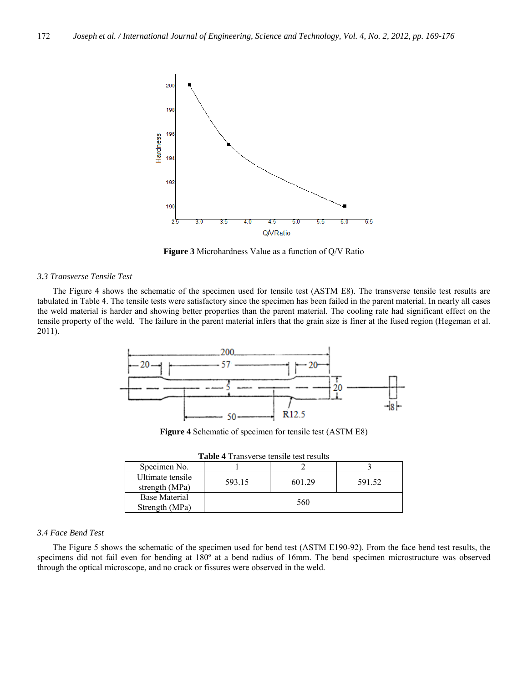

**Figure 3** Microhardness Value as a function of Q/V Ratio

# *3.3 Transverse Tensile Test*

The Figure 4 shows the schematic of the specimen used for tensile test (ASTM E8). The transverse tensile test results are tabulated in Table 4. The tensile tests were satisfactory since the specimen has been failed in the parent material. In nearly all cases the weld material is harder and showing better properties than the parent material. The cooling rate had significant effect on the tensile property of the weld. The failure in the parent material infers that the grain size is finer at the fused region (Hegeman et al. 2011).



**Figure 4** Schematic of specimen for tensile test (ASTM E8)

| Specimen No.                           |        |        |        |  |
|----------------------------------------|--------|--------|--------|--|
| Ultimate tensile<br>strength (MPa)     | 593.15 | 601 29 | 591.52 |  |
| <b>Base Material</b><br>Strength (MPa) |        | 560    |        |  |

**Table 4** Transverse tensile test results

# *3.4 Face Bend Test*

The Figure 5 shows the schematic of the specimen used for bend test (ASTM E190-92). From the face bend test results, the specimens did not fail even for bending at 180º at a bend radius of 16mm. The bend specimen microstructure was observed through the optical microscope, and no crack or fissures were observed in the weld.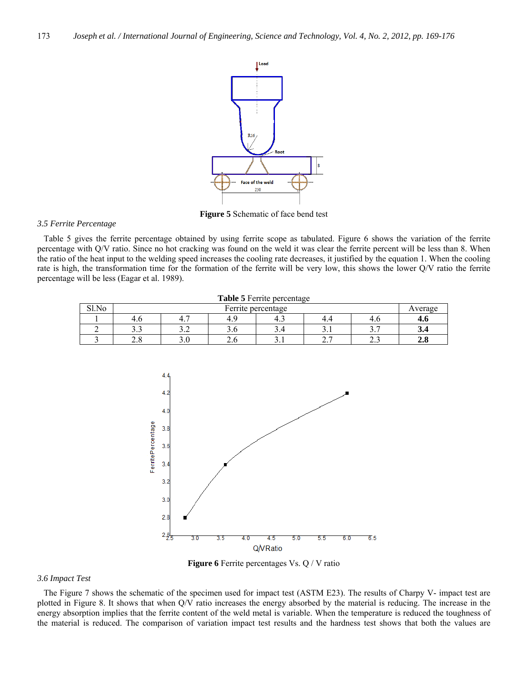

**Figure 5** Schematic of face bend test

# *3.5 Ferrite Percentage*

 Table 5 gives the ferrite percentage obtained by using ferrite scope as tabulated. Figure 6 shows the variation of the ferrite percentage with Q/V ratio. Since no hot cracking was found on the weld it was clear the ferrite percent will be less than 8. When the ratio of the heat input to the welding speed increases the cooling rate decreases, it justified by the equation 1. When the cooling rate is high, the transformation time for the formation of the ferrite will be very low, this shows the lower Q/V ratio the ferrite percentage will be less (Eagar et al. 1989).



**Figure 6** Ferrite percentages Vs. Q / V ratio

## *3.6 Impact Test*

 The Figure 7 shows the schematic of the specimen used for impact test (ASTM E23). The results of Charpy V- impact test are plotted in Figure 8. It shows that when Q/V ratio increases the energy absorbed by the material is reducing. The increase in the energy absorption implies that the ferrite content of the weld metal is variable. When the temperature is reduced the toughness of the material is reduced. The comparison of variation impact test results and the hardness test shows that both the values are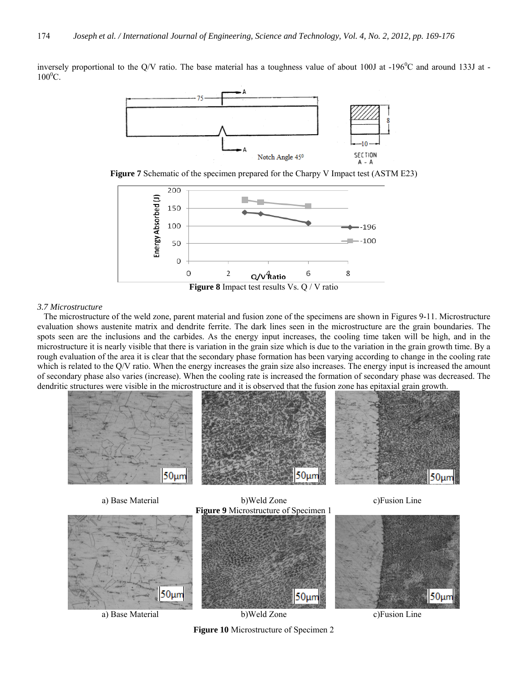inversely proportional to the Q/V ratio. The base material has a toughness value of about 100J at -196 $^0$ C and around 133J at - $100^0C$ .



**Figure 7** Schematic of the specimen prepared for the Charpy V Impact test (ASTM E23)



## *3.7 Microstructure*

 The microstructure of the weld zone, parent material and fusion zone of the specimens are shown in Figures 9-11. Microstructure evaluation shows austenite matrix and dendrite ferrite. The dark lines seen in the microstructure are the grain boundaries. The spots seen are the inclusions and the carbides. As the energy input increases, the cooling time taken will be high, and in the microstructure it is nearly visible that there is variation in the grain size which is due to the variation in the grain growth time. By a rough evaluation of the area it is clear that the secondary phase formation has been varying according to change in the cooling rate which is related to the Q/V ratio. When the energy increases the grain size also increases. The energy input is increased the amount of secondary phase also varies (increase). When the cooling rate is increased the formation of secondary phase was decreased. The dendritic structures were visible in the microstructure and it is observed that the fusion zone has epitaxial grain growth.



a) Base Material b)Weld Zone c)Fusion Line





a) Base Material b)Weld Zone c)Fusion Line

**Figure 10** Microstructure of Specimen 2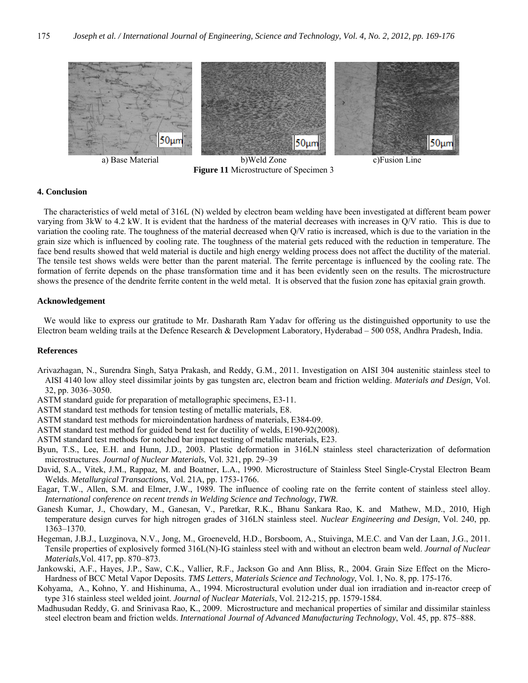

a) Base Material b)Weld Zone c)Fusion Line **Figure 11** Microstructure of Specimen 3

## **4. Conclusion**

 The characteristics of weld metal of 316L (N) welded by electron beam welding have been investigated at different beam power varying from 3kW to 4.2 kW. It is evident that the hardness of the material decreases with increases in Q/V ratio. This is due to variation the cooling rate. The toughness of the material decreased when Q/V ratio is increased, which is due to the variation in the grain size which is influenced by cooling rate. The toughness of the material gets reduced with the reduction in temperature. The face bend results showed that weld material is ductile and high energy welding process does not affect the ductility of the material. The tensile test shows welds were better than the parent material. The ferrite percentage is influenced by the cooling rate. The formation of ferrite depends on the phase transformation time and it has been evidently seen on the results. The microstructure shows the presence of the dendrite ferrite content in the weld metal. It is observed that the fusion zone has epitaxial grain growth.

#### **Acknowledgement**

 We would like to express our gratitude to Mr. Dasharath Ram Yadav for offering us the distinguished opportunity to use the Electron beam welding trails at the Defence Research & Development Laboratory, Hyderabad – 500 058, Andhra Pradesh, India.

#### **References**

- Arivazhagan, N., Surendra Singh, Satya Prakash, and Reddy, G.M., 2011. Investigation on AISI 304 austenitic stainless steel to AISI 4140 low alloy steel dissimilar joints by gas tungsten arc, electron beam and friction welding. *Materials and Design*, Vol. 32, pp. 3036–3050.
- ASTM standard guide for preparation of metallographic specimens, E3-11.
- ASTM standard test methods for tension testing of metallic materials, E8.
- ASTM standard test methods for microindentation hardness of materials, E384-09.
- ASTM standard test method for guided bend test for ductility of welds, E190-92(2008).
- ASTM standard test methods for notched bar impact testing of metallic materials, E23.
- Byun, T.S., Lee, E.H. and Hunn, J.D., 2003. Plastic deformation in 316LN stainless steel characterization of deformation microstructures. *Journal of Nuclear Materials*, Vol. 321, pp. 29–39
- David, S.A., Vitek, J.M., Rappaz, M. and Boatner, L.A., 1990. Microstructure of Stainless Steel Single-Crystal Electron Beam Welds. *Metallurgical Transactions*, Vol. 21A, pp. 1753-1766.
- Eagar, T.W., Allen, S.M. and Elmer, J.W., 1989. The influence of cooling rate on the ferrite content of stainless steel alloy. *International conference on recent trends in Welding Science and Technology*, *TWR*.
- Ganesh Kumar, J., Chowdary, M., Ganesan, V., Paretkar, R.K., Bhanu Sankara Rao, K. and Mathew, M.D., 2010, High temperature design curves for high nitrogen grades of 316LN stainless steel. *Nuclear Engineering and Design*, Vol. 240, pp. 1363–1370.
- Hegeman, J.B.J., Luzginova, N.V., Jong, M., Groeneveld, H.D., Borsboom, A., Stuivinga, M.E.C. and Van der Laan, J.G., 2011. Tensile properties of explosively formed 316L(N)-IG stainless steel with and without an electron beam weld. *Journal of Nuclear Materials*,Vol. 417, pp. 870–873.
- Jankowski, A.F., Hayes, J.P., Saw, C.K., Vallier, R.F., Jackson Go and Ann Bliss, R., 2004. Grain Size Effect on the Micro-Hardness of BCC Metal Vapor Deposits. *TMS Letters, Materials Science and Technology*, Vol. 1, No. 8, pp. 175-176.
- Kohyama, A., Kohno, Y. and Hishinuma, A., 1994. Microstructural evolution under dual ion irradiation and in-reactor creep of type 316 stainless steel welded joint. *Journal of Nuclear Materials*, Vol. 212-215, pp. 1579-1584.
- Madhusudan Reddy, G. and Srinivasa Rao, K., 2009. Microstructure and mechanical properties of similar and dissimilar stainless steel electron beam and friction welds. *International Journal of Advanced Manufacturing Technology*, Vol. 45, pp. 875–888.